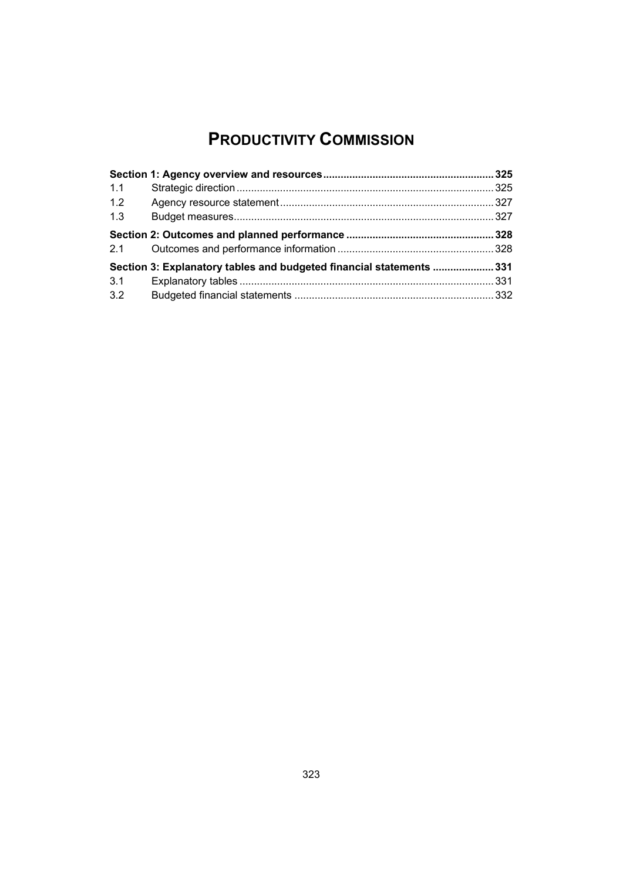# **PRODUCTIVITY COMMISSION**

| 1.1 |                                                                     |  |
|-----|---------------------------------------------------------------------|--|
| 1.2 |                                                                     |  |
| 1.3 |                                                                     |  |
|     |                                                                     |  |
| 2.1 |                                                                     |  |
|     | Section 3: Explanatory tables and budgeted financial statements 331 |  |
| 3.1 |                                                                     |  |
| 3.2 |                                                                     |  |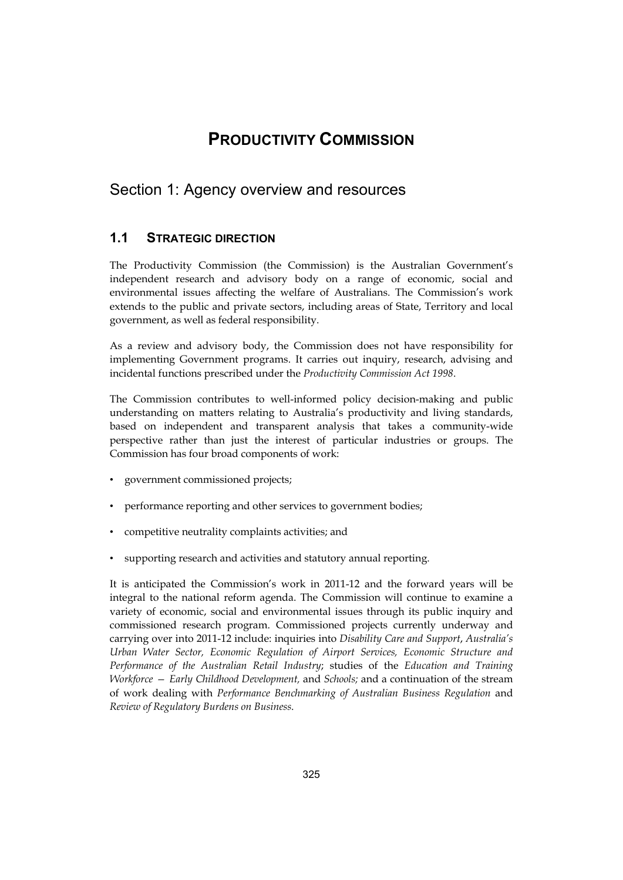# **PRODUCTIVITY COMMISSION**

# <span id="page-2-0"></span>Section 1: Agency overview and resources

# **1.1 STRATEGIC DIRECTION**

The Productivity Commission (the Commission) is the Australian Government's independent research and advisory body on a range of economic, social and environmental issues affecting the welfare of Australians. The Commission's work extends to the public and private sectors, including areas of State, Territory and local government, as well as federal responsibility.

As a review and advisory body, the Commission does not have responsibility for implementing Government programs. It carries out inquiry, research, advising and incidental functions prescribed under the *Productivity Commission Act 1998*.

The Commission contributes to well-informed policy decision-making and public understanding on matters relating to Australia's productivity and living standards, based on independent and transparent analysis that takes a community-wide perspective rather than just the interest of particular industries or groups. The Commission has four broad components of work:

- government commissioned projects;
- performance reporting and other services to government bodies;
- competitive neutrality complaints activities; and
- supporting research and activities and statutory annual reporting.

It is anticipated the Commission's work in 2011-12 and the forward years will be integral to the national reform agenda. The Commission will continue to examine a variety of economic, social and environmental issues through its public inquiry and commissioned research program. Commissioned projects currently underway and carrying over into 2011-12 include: inquiries into *Disability Care and Support*, *Australia's Urban Water Sector, Economic Regulation of Airport Services, Economic Structure and Performance of the Australian Retail Industry*; studies of the *Education and Training Workforce — Early Childhood Development,* and *Schools;* and a continuation of the stream of work dealing with *Performance Benchmarking of Australian Business Regulation* and *Review of Regulatory Burdens on Business*.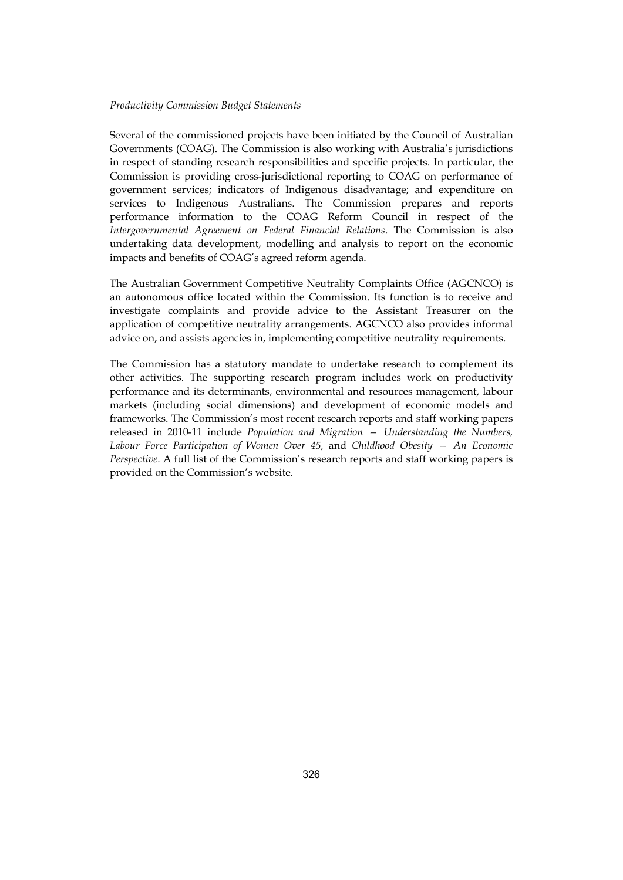#### *Productivity Commission Budget Statements*

Several of the commissioned projects have been initiated by the Council of Australian Governments (COAG). The Commission is also working with Australia's jurisdictions in respect of standing research responsibilities and specific projects. In particular, the Commission is providing cross-jurisdictional reporting to COAG on performance of government services; indicators of Indigenous disadvantage; and expenditure on services to Indigenous Australians. The Commission prepares and reports performance information to the COAG Reform Council in respect of the *Intergovernmental Agreement on Federal Financial Relations*. The Commission is also undertaking data development, modelling and analysis to report on the economic impacts and benefits of COAG's agreed reform agenda.

The Australian Government Competitive Neutrality Complaints Office (AGCNCO) is an autonomous office located within the Commission. Its function is to receive and investigate complaints and provide advice to the Assistant Treasurer on the application of competitive neutrality arrangements. AGCNCO also provides informal advice on, and assists agencies in, implementing competitive neutrality requirements.

The Commission has a statutory mandate to undertake research to complement its other activities. The supporting research program includes work on productivity performance and its determinants, environmental and resources management, labour markets (including social dimensions) and development of economic models and frameworks. The Commission's most recent research reports and staff working papers released in 2010-11 include *Population and Migration — Understanding the Numbers, Labour Force Participation of Women Over 45,* and *Childhood Obesity — An Economic Perspective*. A full list of the Commission's research reports and staff working papers is provided on the Commission's website.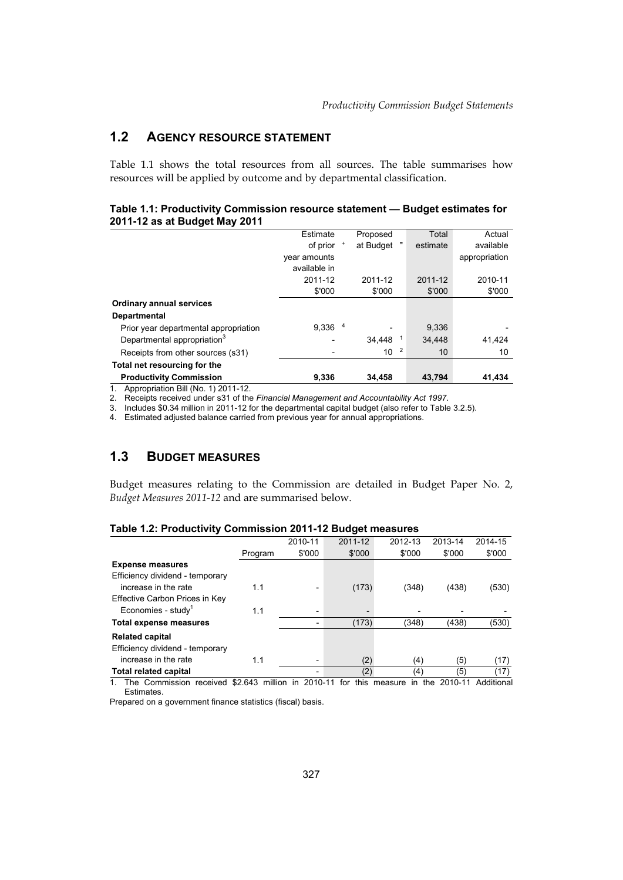# **1.2 AGENCY RESOURCE STATEMENT**

Table 1.1 shows the total resources from all sources. The table summarises how resources will be applied by outcome and by departmental classification.

#### **Table 1.1: Productivity Commission resource statement — Budget estimates for 2011-12 as at Budget May 2011**

|                                         | Estimate                 | Proposed        | Total                | Actual        |
|-----------------------------------------|--------------------------|-----------------|----------------------|---------------|
|                                         | of prior                 | at Budget       | Ξ<br>estimate        | available     |
|                                         | year amounts             |                 |                      | appropriation |
|                                         | available in             |                 |                      |               |
|                                         | 2011-12                  | 2011-12         | 2011-12              | 2010-11       |
|                                         | \$'000                   | \$'000          | \$'000               | \$'000        |
| <b>Ordinary annual services</b>         |                          |                 |                      |               |
| <b>Departmental</b>                     |                          |                 |                      |               |
| Prior year departmental appropriation   | 9.336                    | 4               | 9.336                |               |
| Departmental appropriation <sup>3</sup> |                          | 34.448          | 34.448               | 41,424        |
| Receipts from other sources (s31)       | $\overline{\phantom{a}}$ | 10 <sup>1</sup> | $\overline{2}$<br>10 | 10            |
| Total net resourcing for the            |                          |                 |                      |               |
| <b>Productivity Commission</b>          | 9,336                    | 34,458          | 43,794               | 41,434        |

1. Appropriation Bill (No. 1) 2011-12.

2. Receipts received under s31 of the *Financial Management and Accountability Act 1997*.

3. Includes \$0.34 million in 2011-12 for the departmental capital budget (also refer to Table 3.2.5).

4. Estimated adjusted balance carried from previous year for annual appropriations.

# **1.3 BUDGET MEASURES**

 Budget measures relating to the Commission are detailed in Budget Paper No. 2, *Budget Measures 2011-12* and are summarised below.

|                                 |         | 2010-11    |                          | 2011-12     | 2012-13 |            | 2013-14 | 2014-15    |
|---------------------------------|---------|------------|--------------------------|-------------|---------|------------|---------|------------|
|                                 | Program | \$'000     |                          | \$'000      |         | \$'000     | \$'000  | \$'000     |
| <b>Expense measures</b>         |         |            |                          |             |         |            |         |            |
| Efficiency dividend - temporary |         |            |                          |             |         |            |         |            |
| increase in the rate            | 1.1     |            | $\overline{\phantom{a}}$ | (173)       |         | (348)      | (438)   | (530)      |
| Effective Carbon Prices in Key  |         |            |                          |             |         |            |         |            |
| Economies - study <sup>1</sup>  | 1.1     |            | $\overline{\phantom{a}}$ |             |         |            |         |            |
| Total expense measures          |         |            | -                        | (173)       |         | (348)      | (438)   | (530)      |
| <b>Related capital</b>          |         |            |                          |             |         |            |         |            |
| Efficiency dividend - temporary |         |            |                          |             |         |            |         |            |
| increase in the rate            | 1.1     |            | $\overline{\phantom{a}}$ | (2)         |         | (4)        | (5)     | (17)       |
| <b>Total related capital</b>    |         |            | $\overline{\phantom{0}}$ | (2)         |         | (4)        | (5)     | (17)       |
| The Commission<br>received      | \$2.643 | million in | 2010-11                  | this<br>for | measure | the<br>in. | 2010-11 | Additional |
|                                 |         |            |                          |             |         |            |         |            |

### **Table 1.2: Productivity Commission 2011-12 Budget measures**

Estimates.

Prepared on a government finance statistics (fiscal) basis.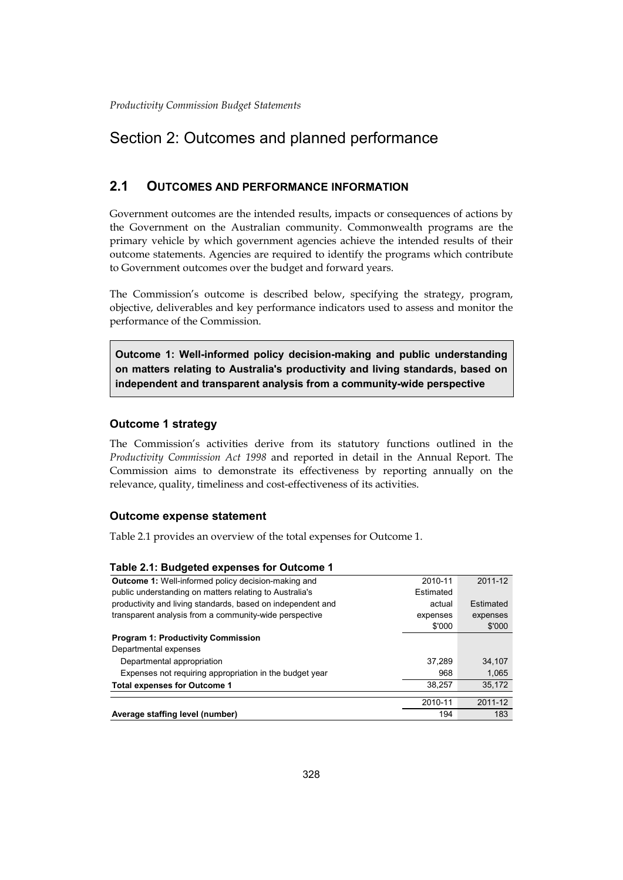# Section 2: Outcomes and planned performance

# **2.1 OUTCOMES AND PERFORMANCE INFORMATION**

 Government outcomes are the intended results, impacts or consequences of actions by the Government on the Australian community. Commonwealth programs are the primary vehicle by which government agencies achieve the intended results of their outcome statements. Agencies are required to identify the programs which contribute to Government outcomes over the budget and forward years.

The Commission's outcome is described below, specifying the strategy, program, objective, deliverables and key performance indicators used to assess and monitor the performance of the Commission.

**Outcome 1: Well-informed policy decision-making and public understanding on matters relating to Australia's productivity and living standards, based on independent and transparent analysis from a community-wide perspective** 

### **Outcome 1 strategy**

The Commission's activities derive from its statutory functions outlined in the *Productivity Commission Act 1998* and reported in detail in the Annual Report. The Commission aims to demonstrate its effectiveness by reporting annually on the relevance, quality, timeliness and cost-effectiveness of its activities.

#### **Outcome expense statement**

Table 2.1 provides an overview of the total expenses for Outcome 1.

#### **Table 2.1: Budgeted expenses for Outcome 1**

| Average staffing level (number)                             | 194       | 183       |
|-------------------------------------------------------------|-----------|-----------|
|                                                             | 2010-11   | 2011-12   |
|                                                             |           |           |
| <b>Total expenses for Outcome 1</b>                         | 38.257    | 35,172    |
| Expenses not requiring appropriation in the budget year     | 968       | 1,065     |
| Departmental appropriation                                  | 37.289    | 34.107    |
| Departmental expenses                                       |           |           |
| <b>Program 1: Productivity Commission</b>                   |           |           |
|                                                             | \$'000    | \$'000    |
| transparent analysis from a community-wide perspective      | expenses  | expenses  |
| productivity and living standards, based on independent and | actual    | Estimated |
| public understanding on matters relating to Australia's     | Estimated |           |
| Outcome 1: Well-informed policy decision-making and         | 2010-11   | 2011-12   |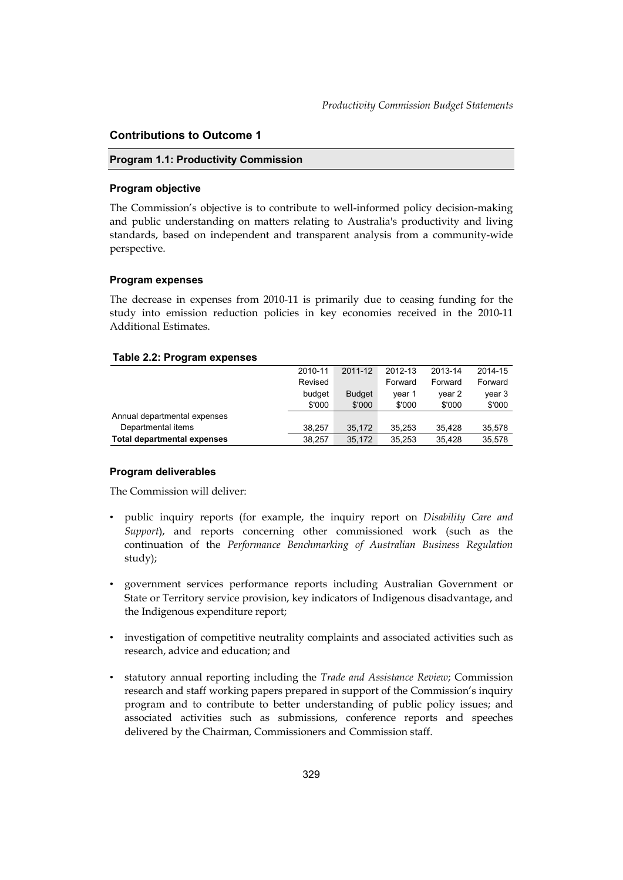### **Contributions to Outcome 1**

#### **Program 1.1: Productivity Commission**

#### **Program objective**

 standards, based on independent and transparent analysis from a community-wide The Commission's objective is to contribute to well-informed policy decision-making and public understanding on matters relating to Australia's productivity and living perspective.

#### **Program expenses**

The decrease in expenses from 2010-11 is primarily due to ceasing funding for the study into emission reduction policies in key economies received in the 2010-11 Additional Estimates.

#### **Table 2.2: Program expenses**

|                                    | 2010-11 | 2011-12       | 2012-13 | 2013-14 | 2014-15 |
|------------------------------------|---------|---------------|---------|---------|---------|
|                                    | Revised |               | Forward | Forward | Forward |
|                                    | budget  | <b>Budget</b> | vear 1  | vear 2  | year 3  |
|                                    | \$'000  | \$'000        | \$'000  | \$'000  | \$'000  |
| Annual departmental expenses       |         |               |         |         |         |
| Departmental items                 | 38.257  | 35.172        | 35.253  | 35.428  | 35,578  |
| <b>Total departmental expenses</b> | 38.257  | 35.172        | 35.253  | 35.428  | 35.578  |

#### **Program deliverables**

The Commission will deliver:

- • public inquiry reports (for example, the inquiry report on *Disability Care and Support*), and reports concerning other commissioned work (such as the continuation of the *Performance Benchmarking of Australian Business Regulation*  study);
- • government services performance reports including Australian Government or State or Territory service provision, key indicators of Indigenous disadvantage, and the Indigenous expenditure report;
- investigation of competitive neutrality complaints and associated activities such as research, advice and education; and
- • statutory annual reporting including the *Trade and Assistance Review*; Commission research and staff working papers prepared in support of the Commission's inquiry program and to contribute to better understanding of public policy issues; and associated activities such as submissions, conference reports and speeches delivered by the Chairman, Commissioners and Commission staff.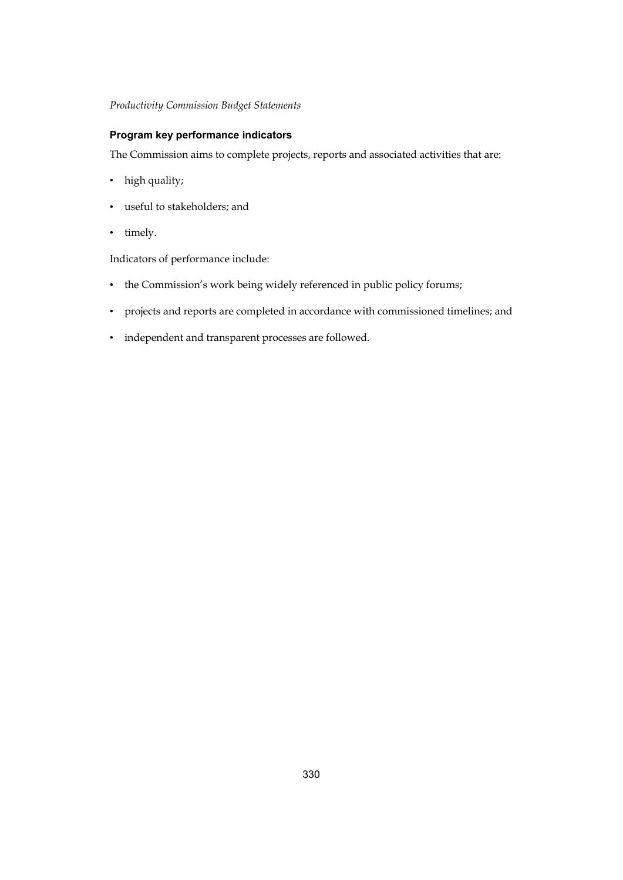### **Program key performance indicators**

The Commission aims to complete projects, reports and associated activities that are:

- high quality;
- useful to stakeholders; and
- timely.

Indicators of performance include:

- the Commission's work being widely referenced in public policy forums;
- projects and reports are completed in accordance with commissioned timelines; and
- independent and transparent processes are followed.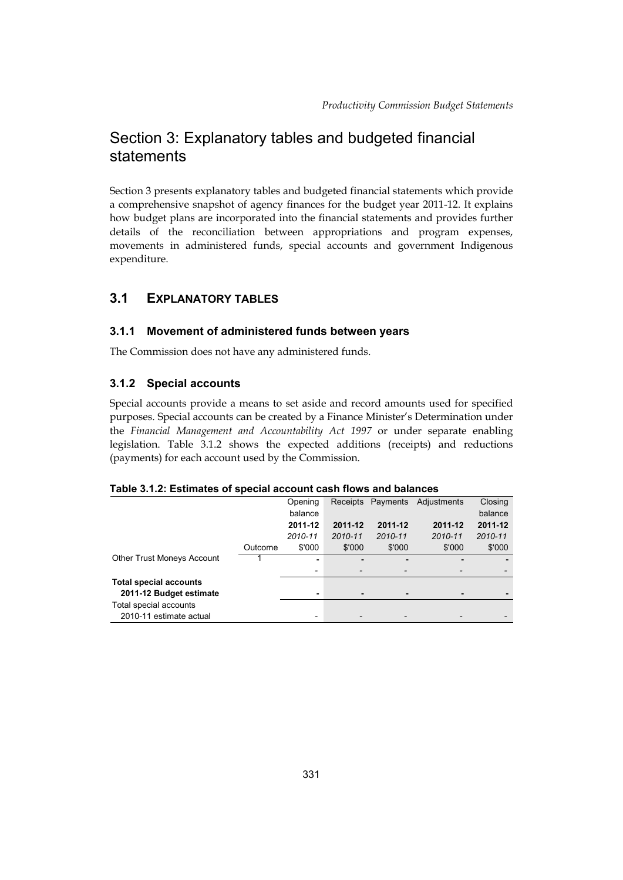# Section 3: Explanatory tables and budgeted financial statements

Section 3 presents explanatory tables and budgeted financial statements which provide a comprehensive snapshot of agency finances for the budget year 2011-12. It explains how budget plans are incorporated into the financial statements and provides further details of the reconciliation between appropriations and program expenses, movements in administered funds, special accounts and government Indigenous expenditure.

# **3.1 EXPLANATORY TABLES**

# **3.1.1 Movement of administered funds between years**

The Commission does not have any administered funds.

# **3.1.2 Special accounts**

Special accounts provide a means to set aside and record amounts used for specified purposes. Special accounts can be created by a Finance Minister's Determination under the *Financial Management and Accountability Act 1997* or under separate enabling legislation. Table 3.1.2 shows the expected additions (receipts) and reductions (payments) for each account used by the Commission.

#### **Table 3.1.2: Estimates of special account cash flows and balances**

|                                   |         | Opening | Receipts                 | Payments                 | Adjustments | Closing |
|-----------------------------------|---------|---------|--------------------------|--------------------------|-------------|---------|
|                                   |         | balance |                          |                          |             | balance |
|                                   |         | 2011-12 | 2011-12                  | 2011-12                  | 2011-12     | 2011-12 |
|                                   |         | 2010-11 | 2010-11                  | 2010-11                  | 2010-11     | 2010-11 |
|                                   | Outcome | \$'000  | \$'000                   | \$'000                   | \$'000      | \$'000  |
| <b>Other Trust Moneys Account</b> |         | ۰       | ۰.                       |                          |             |         |
|                                   |         | -       | ٠                        | $\overline{\phantom{0}}$ |             |         |
| <b>Total special accounts</b>     |         |         |                          |                          |             |         |
| 2011-12 Budget estimate           |         |         |                          |                          |             |         |
| Total special accounts            |         |         |                          |                          |             |         |
| 2010-11 estimate actual           |         | ٠       | $\overline{\phantom{0}}$ |                          |             |         |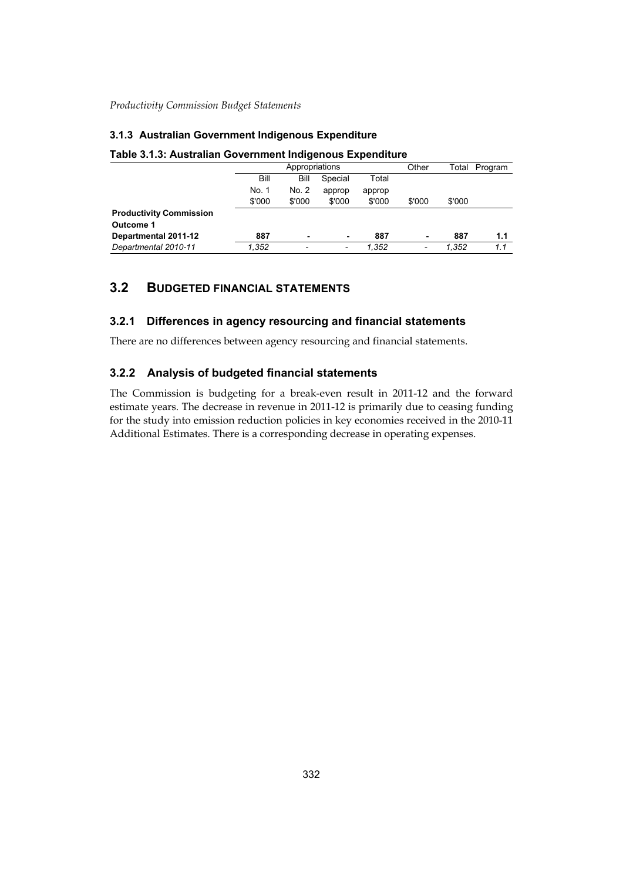### **3.1.3 Australian Government Indigenous Expenditure**

|                                |        | Appropriations |         | Other  | Total                    | Program |     |
|--------------------------------|--------|----------------|---------|--------|--------------------------|---------|-----|
|                                | Bill   | Bill           | Special | Total  |                          |         |     |
|                                | No. 1  | No. 2          | approp  | approp |                          |         |     |
|                                | \$'000 | \$'000         | \$'000  | \$'000 | \$'000                   | \$'000  |     |
| <b>Productivity Commission</b> |        |                |         |        |                          |         |     |
| Outcome 1                      |        |                |         |        |                          |         |     |
| Departmental 2011-12           | 887    | $\blacksquare$ | ٠       | 887    | ۰                        | 887     | 1.1 |
| Departmental 2010-11           | 1.352  | -              | ٠       | 1.352  | $\overline{\phantom{a}}$ | 1.352   | 1.1 |

#### **Table 3.1.3: Australian Government Indigenous Expenditure**

# **3.2 BUDGETED FINANCIAL STATEMENTS**

# **3.2.1 Differences in agency resourcing and financial statements**

There are no differences between agency resourcing and financial statements.

# **3.2.2 Analysis of budgeted financial statements**

The Commission is budgeting for a break-even result in 2011-12 and the forward estimate years. The decrease in revenue in 2011-12 is primarily due to ceasing funding for the study into emission reduction policies in key economies received in the 2010-11 Additional Estimates. There is a corresponding decrease in operating expenses.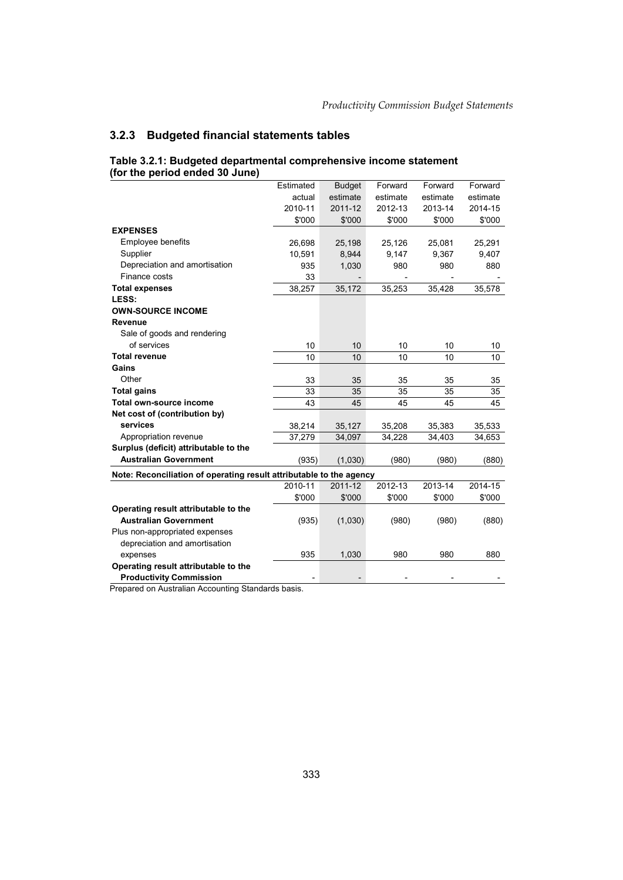# **3.2.3 Budgeted financial statements tables**

|                                                                     | Estimated | <b>Budget</b> | Forward  | Forward  | Forward  |
|---------------------------------------------------------------------|-----------|---------------|----------|----------|----------|
|                                                                     | actual    | estimate      | estimate | estimate | estimate |
|                                                                     | 2010-11   | 2011-12       | 2012-13  | 2013-14  | 2014-15  |
|                                                                     | \$'000    | \$'000        | \$'000   | \$'000   | \$'000   |
| <b>EXPENSES</b>                                                     |           |               |          |          |          |
| Employee benefits                                                   | 26,698    | 25,198        | 25,126   | 25,081   | 25,291   |
| Supplier                                                            | 10,591    | 8,944         | 9,147    | 9,367    | 9,407    |
| Depreciation and amortisation                                       | 935       | 1,030         | 980      | 980      | 880      |
| Finance costs                                                       | 33        |               |          |          |          |
| <b>Total expenses</b>                                               | 38,257    | 35,172        | 35,253   | 35,428   | 35,578   |
| LESS:                                                               |           |               |          |          |          |
| <b>OWN-SOURCE INCOME</b>                                            |           |               |          |          |          |
| <b>Revenue</b>                                                      |           |               |          |          |          |
| Sale of goods and rendering                                         |           |               |          |          |          |
| of services                                                         | 10        | 10            | 10       | 10       | 10       |
| <b>Total revenue</b>                                                | 10        | 10            | 10       | 10       | 10       |
| Gains                                                               |           |               |          |          |          |
| Other                                                               | 33        | 35            | 35       | 35       | 35       |
| <b>Total gains</b>                                                  | 33        | 35            | 35       | 35       | 35       |
| Total own-source income                                             | 43        | 45            | 45       | 45       | 45       |
| Net cost of (contribution by)                                       |           |               |          |          |          |
| services                                                            | 38,214    | 35,127        | 35,208   | 35,383   | 35,533   |
| Appropriation revenue                                               | 37,279    | 34,097        | 34,228   | 34,403   | 34,653   |
| Surplus (deficit) attributable to the                               |           |               |          |          |          |
| <b>Australian Government</b>                                        | (935)     | (1,030)       | (980)    | (980)    | (880)    |
| Note: Reconciliation of operating result attributable to the agency |           |               |          |          |          |
|                                                                     | 2010-11   | 2011-12       | 2012-13  | 2013-14  | 2014-15  |
|                                                                     | \$'000    | \$'000        | \$'000   | \$'000   | \$'000   |
| Operating result attributable to the                                |           |               |          |          |          |
| <b>Australian Government</b>                                        | (935)     | (1,030)       | (980)    | (980)    | (880)    |
| Plus non-appropriated expenses                                      |           |               |          |          |          |
| depreciation and amortisation                                       |           |               |          |          |          |
| expenses                                                            | 935       | 1,030         | 980      | 980      | 880      |
| Operating result attributable to the                                |           |               |          |          |          |
| <b>Productivity Commission</b>                                      |           |               |          |          |          |
|                                                                     |           |               |          |          |          |

#### **Table 3.2.1: Budgeted departmental comprehensive income statement (for the period ended 30 June)**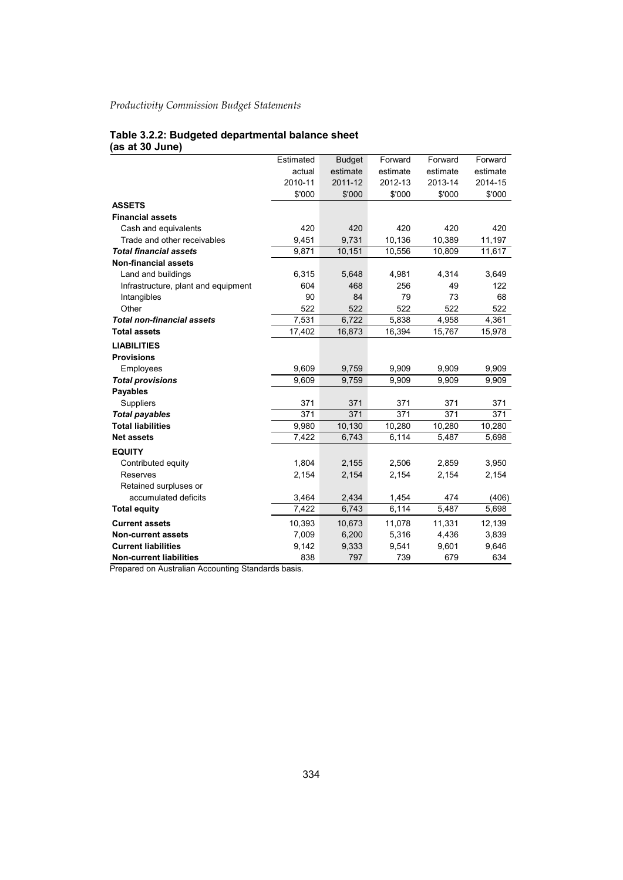#### **Table 3.2.2: Budgeted departmental balance sheet (as at 30 June)**

| estimate<br>actual<br>estimate<br>estimate<br>2011-12<br>2012-13<br>2013-14<br>2010-11 | estimate<br>2014-15 |
|----------------------------------------------------------------------------------------|---------------------|
|                                                                                        |                     |
|                                                                                        |                     |
| \$'000<br>\$'000<br>\$'000<br>\$'000                                                   | \$'000              |
| <b>ASSETS</b>                                                                          |                     |
| <b>Financial assets</b>                                                                |                     |
| 420<br>420<br>420<br>420<br>Cash and equivalents                                       | 420                 |
| 9,731<br>10,136<br>10,389<br>Trade and other receivables<br>9,451                      | 11,197              |
| <b>Total financial assets</b><br>9,871<br>10,151<br>10,556<br>10,809                   | 11,617              |
| <b>Non-financial assets</b>                                                            |                     |
| Land and buildings<br>6,315<br>4,981<br>4,314<br>5,648                                 | 3,649               |
| 256<br>604<br>468<br>49<br>Infrastructure, plant and equipment                         | 122                 |
| Intangibles<br>90<br>84<br>79<br>73                                                    | 68                  |
| 522<br>522<br>Other<br>522<br>522                                                      | 522                 |
| <b>Total non-financial assets</b><br>7,531<br>5,838<br>6,722<br>4,958                  | 4,361               |
| <b>Total assets</b><br>17,402<br>16,873<br>16,394<br>15,767                            | 15,978              |
| <b>LIABILITIES</b>                                                                     |                     |
| <b>Provisions</b>                                                                      |                     |
| 9,609<br>9,759<br>9,909<br>Employees<br>9,909                                          | 9,909               |
| 9,609<br>9,909<br><b>Total provisions</b><br>9,759<br>9,909                            | 9,909               |
| <b>Payables</b>                                                                        |                     |
| 371<br><b>Suppliers</b><br>371<br>371<br>371                                           | 371                 |
| 371<br>371<br>371<br>371<br><b>Total payables</b>                                      | 371                 |
| <b>Total liabilities</b><br>9,980<br>10,130<br>10,280<br>10,280                        | 10,280              |
| 7,422<br>6,114<br>6,743<br>5,487<br><b>Net assets</b>                                  | 5,698               |
| <b>EQUITY</b>                                                                          |                     |
| 1,804<br>2,155<br>2,506<br>2,859<br>Contributed equity                                 | 3,950               |
| Reserves<br>2,154<br>2,154<br>2,154<br>2,154                                           | 2,154               |
| Retained surpluses or                                                                  |                     |
| accumulated deficits<br>3,464<br>2,434<br>1,454<br>474                                 | (406)               |
| 7,422<br>6,743<br>6,114<br>5,487<br><b>Total equity</b>                                | 5,698               |
| 10,393<br>10,673<br>11,078<br>11,331<br><b>Current assets</b>                          | 12,139              |
| 7,009<br>6,200<br>5,316<br>4,436<br><b>Non-current assets</b>                          | 3,839               |
| <b>Current liabilities</b><br>9,142<br>9,333<br>9,601<br>9,541                         | 9,646               |
| <b>Non-current liabilities</b><br>838<br>797<br>739<br>679                             | 634                 |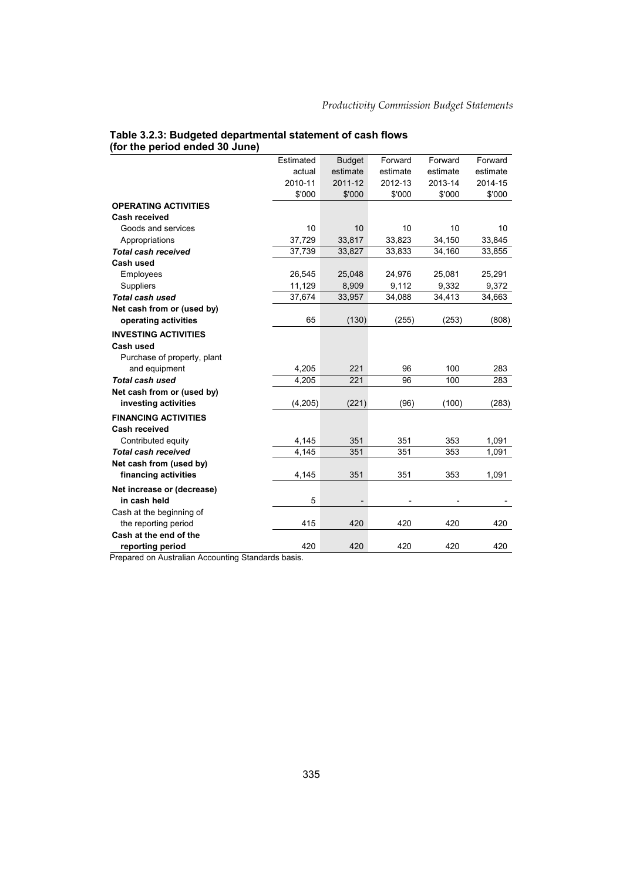# **Table 3.2.3: Budgeted departmental statement of cash flows (for the period ended 30 June)**

| estimate<br>estimate<br>estimate<br>estimate<br>actual<br>2010-11<br>2011-12<br>2012-13<br>2013-14<br>2014-15<br>\$'000<br>\$'000<br>\$'000<br>\$'000<br>\$'000<br><b>OPERATING ACTIVITIES</b><br><b>Cash received</b><br>10<br>10<br>10<br>10<br>Goods and services<br>10<br>37,729<br>33,823<br>34,150<br>Appropriations<br>33,817<br>33,845<br><b>Total cash received</b><br>37,739<br>33,827<br>33,833<br>34,160<br>33,855<br>Cash used<br>24,976<br>25,081<br>Employees<br>26,545<br>25,048<br>25,291<br>Suppliers<br>11,129<br>8,909<br>9,112<br>9,332<br>9,372<br><b>Total cash used</b><br>34,413<br>37,674<br>33,957<br>34,088<br>34,663<br>Net cash from or (used by)<br>operating activities<br>65<br>(130)<br>(255)<br>(253)<br>(808)<br><b>INVESTING ACTIVITIES</b><br><b>Cash used</b><br>Purchase of property, plant<br>4,205<br>221<br>100<br>283<br>and equipment<br>96<br><b>Total cash used</b><br>4,205<br>221<br>96<br>100<br>283<br>Net cash from or (used by)<br>investing activities<br>(4, 205)<br>(221)<br>(96)<br>(100)<br>(283)<br><b>FINANCING ACTIVITIES</b><br><b>Cash received</b><br>4,145<br>Contributed equity<br>351<br>351<br>353<br>1,091<br><b>Total cash received</b><br>4,145<br>351<br>351<br>353<br>1,091<br>Net cash from (used by)<br>financing activities<br>351<br>351<br>353<br>1,091<br>4,145<br>Net increase or (decrease)<br>in cash held<br>5<br>Cash at the beginning of<br>415<br>420<br>420<br>420<br>420<br>the reporting period<br>Cash at the end of the<br>420<br>420<br>420<br>420<br>420 |                  | Estimated | <b>Budget</b> | Forward | Forward | Forward |
|-------------------------------------------------------------------------------------------------------------------------------------------------------------------------------------------------------------------------------------------------------------------------------------------------------------------------------------------------------------------------------------------------------------------------------------------------------------------------------------------------------------------------------------------------------------------------------------------------------------------------------------------------------------------------------------------------------------------------------------------------------------------------------------------------------------------------------------------------------------------------------------------------------------------------------------------------------------------------------------------------------------------------------------------------------------------------------------------------------------------------------------------------------------------------------------------------------------------------------------------------------------------------------------------------------------------------------------------------------------------------------------------------------------------------------------------------------------------------------------------------------------------------------------------------------|------------------|-----------|---------------|---------|---------|---------|
|                                                                                                                                                                                                                                                                                                                                                                                                                                                                                                                                                                                                                                                                                                                                                                                                                                                                                                                                                                                                                                                                                                                                                                                                                                                                                                                                                                                                                                                                                                                                                       |                  |           |               |         |         |         |
|                                                                                                                                                                                                                                                                                                                                                                                                                                                                                                                                                                                                                                                                                                                                                                                                                                                                                                                                                                                                                                                                                                                                                                                                                                                                                                                                                                                                                                                                                                                                                       |                  |           |               |         |         |         |
|                                                                                                                                                                                                                                                                                                                                                                                                                                                                                                                                                                                                                                                                                                                                                                                                                                                                                                                                                                                                                                                                                                                                                                                                                                                                                                                                                                                                                                                                                                                                                       |                  |           |               |         |         |         |
|                                                                                                                                                                                                                                                                                                                                                                                                                                                                                                                                                                                                                                                                                                                                                                                                                                                                                                                                                                                                                                                                                                                                                                                                                                                                                                                                                                                                                                                                                                                                                       |                  |           |               |         |         |         |
|                                                                                                                                                                                                                                                                                                                                                                                                                                                                                                                                                                                                                                                                                                                                                                                                                                                                                                                                                                                                                                                                                                                                                                                                                                                                                                                                                                                                                                                                                                                                                       |                  |           |               |         |         |         |
|                                                                                                                                                                                                                                                                                                                                                                                                                                                                                                                                                                                                                                                                                                                                                                                                                                                                                                                                                                                                                                                                                                                                                                                                                                                                                                                                                                                                                                                                                                                                                       |                  |           |               |         |         |         |
|                                                                                                                                                                                                                                                                                                                                                                                                                                                                                                                                                                                                                                                                                                                                                                                                                                                                                                                                                                                                                                                                                                                                                                                                                                                                                                                                                                                                                                                                                                                                                       |                  |           |               |         |         |         |
|                                                                                                                                                                                                                                                                                                                                                                                                                                                                                                                                                                                                                                                                                                                                                                                                                                                                                                                                                                                                                                                                                                                                                                                                                                                                                                                                                                                                                                                                                                                                                       |                  |           |               |         |         |         |
|                                                                                                                                                                                                                                                                                                                                                                                                                                                                                                                                                                                                                                                                                                                                                                                                                                                                                                                                                                                                                                                                                                                                                                                                                                                                                                                                                                                                                                                                                                                                                       |                  |           |               |         |         |         |
|                                                                                                                                                                                                                                                                                                                                                                                                                                                                                                                                                                                                                                                                                                                                                                                                                                                                                                                                                                                                                                                                                                                                                                                                                                                                                                                                                                                                                                                                                                                                                       |                  |           |               |         |         |         |
|                                                                                                                                                                                                                                                                                                                                                                                                                                                                                                                                                                                                                                                                                                                                                                                                                                                                                                                                                                                                                                                                                                                                                                                                                                                                                                                                                                                                                                                                                                                                                       |                  |           |               |         |         |         |
|                                                                                                                                                                                                                                                                                                                                                                                                                                                                                                                                                                                                                                                                                                                                                                                                                                                                                                                                                                                                                                                                                                                                                                                                                                                                                                                                                                                                                                                                                                                                                       |                  |           |               |         |         |         |
|                                                                                                                                                                                                                                                                                                                                                                                                                                                                                                                                                                                                                                                                                                                                                                                                                                                                                                                                                                                                                                                                                                                                                                                                                                                                                                                                                                                                                                                                                                                                                       |                  |           |               |         |         |         |
|                                                                                                                                                                                                                                                                                                                                                                                                                                                                                                                                                                                                                                                                                                                                                                                                                                                                                                                                                                                                                                                                                                                                                                                                                                                                                                                                                                                                                                                                                                                                                       |                  |           |               |         |         |         |
|                                                                                                                                                                                                                                                                                                                                                                                                                                                                                                                                                                                                                                                                                                                                                                                                                                                                                                                                                                                                                                                                                                                                                                                                                                                                                                                                                                                                                                                                                                                                                       |                  |           |               |         |         |         |
|                                                                                                                                                                                                                                                                                                                                                                                                                                                                                                                                                                                                                                                                                                                                                                                                                                                                                                                                                                                                                                                                                                                                                                                                                                                                                                                                                                                                                                                                                                                                                       |                  |           |               |         |         |         |
|                                                                                                                                                                                                                                                                                                                                                                                                                                                                                                                                                                                                                                                                                                                                                                                                                                                                                                                                                                                                                                                                                                                                                                                                                                                                                                                                                                                                                                                                                                                                                       |                  |           |               |         |         |         |
|                                                                                                                                                                                                                                                                                                                                                                                                                                                                                                                                                                                                                                                                                                                                                                                                                                                                                                                                                                                                                                                                                                                                                                                                                                                                                                                                                                                                                                                                                                                                                       |                  |           |               |         |         |         |
|                                                                                                                                                                                                                                                                                                                                                                                                                                                                                                                                                                                                                                                                                                                                                                                                                                                                                                                                                                                                                                                                                                                                                                                                                                                                                                                                                                                                                                                                                                                                                       |                  |           |               |         |         |         |
|                                                                                                                                                                                                                                                                                                                                                                                                                                                                                                                                                                                                                                                                                                                                                                                                                                                                                                                                                                                                                                                                                                                                                                                                                                                                                                                                                                                                                                                                                                                                                       |                  |           |               |         |         |         |
|                                                                                                                                                                                                                                                                                                                                                                                                                                                                                                                                                                                                                                                                                                                                                                                                                                                                                                                                                                                                                                                                                                                                                                                                                                                                                                                                                                                                                                                                                                                                                       |                  |           |               |         |         |         |
|                                                                                                                                                                                                                                                                                                                                                                                                                                                                                                                                                                                                                                                                                                                                                                                                                                                                                                                                                                                                                                                                                                                                                                                                                                                                                                                                                                                                                                                                                                                                                       |                  |           |               |         |         |         |
|                                                                                                                                                                                                                                                                                                                                                                                                                                                                                                                                                                                                                                                                                                                                                                                                                                                                                                                                                                                                                                                                                                                                                                                                                                                                                                                                                                                                                                                                                                                                                       |                  |           |               |         |         |         |
|                                                                                                                                                                                                                                                                                                                                                                                                                                                                                                                                                                                                                                                                                                                                                                                                                                                                                                                                                                                                                                                                                                                                                                                                                                                                                                                                                                                                                                                                                                                                                       |                  |           |               |         |         |         |
|                                                                                                                                                                                                                                                                                                                                                                                                                                                                                                                                                                                                                                                                                                                                                                                                                                                                                                                                                                                                                                                                                                                                                                                                                                                                                                                                                                                                                                                                                                                                                       |                  |           |               |         |         |         |
|                                                                                                                                                                                                                                                                                                                                                                                                                                                                                                                                                                                                                                                                                                                                                                                                                                                                                                                                                                                                                                                                                                                                                                                                                                                                                                                                                                                                                                                                                                                                                       |                  |           |               |         |         |         |
|                                                                                                                                                                                                                                                                                                                                                                                                                                                                                                                                                                                                                                                                                                                                                                                                                                                                                                                                                                                                                                                                                                                                                                                                                                                                                                                                                                                                                                                                                                                                                       |                  |           |               |         |         |         |
|                                                                                                                                                                                                                                                                                                                                                                                                                                                                                                                                                                                                                                                                                                                                                                                                                                                                                                                                                                                                                                                                                                                                                                                                                                                                                                                                                                                                                                                                                                                                                       |                  |           |               |         |         |         |
|                                                                                                                                                                                                                                                                                                                                                                                                                                                                                                                                                                                                                                                                                                                                                                                                                                                                                                                                                                                                                                                                                                                                                                                                                                                                                                                                                                                                                                                                                                                                                       |                  |           |               |         |         |         |
|                                                                                                                                                                                                                                                                                                                                                                                                                                                                                                                                                                                                                                                                                                                                                                                                                                                                                                                                                                                                                                                                                                                                                                                                                                                                                                                                                                                                                                                                                                                                                       |                  |           |               |         |         |         |
|                                                                                                                                                                                                                                                                                                                                                                                                                                                                                                                                                                                                                                                                                                                                                                                                                                                                                                                                                                                                                                                                                                                                                                                                                                                                                                                                                                                                                                                                                                                                                       |                  |           |               |         |         |         |
|                                                                                                                                                                                                                                                                                                                                                                                                                                                                                                                                                                                                                                                                                                                                                                                                                                                                                                                                                                                                                                                                                                                                                                                                                                                                                                                                                                                                                                                                                                                                                       |                  |           |               |         |         |         |
|                                                                                                                                                                                                                                                                                                                                                                                                                                                                                                                                                                                                                                                                                                                                                                                                                                                                                                                                                                                                                                                                                                                                                                                                                                                                                                                                                                                                                                                                                                                                                       | reporting period |           |               |         |         |         |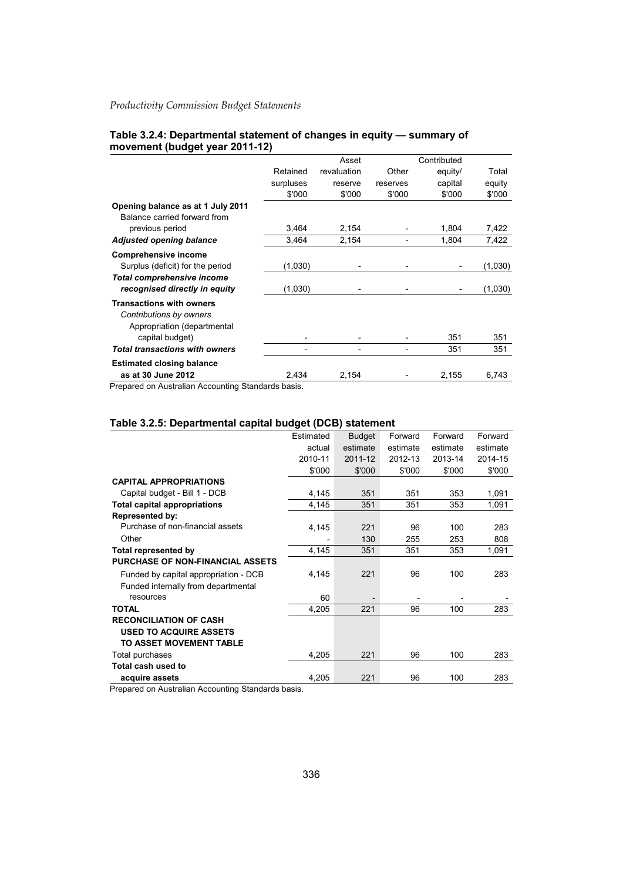|                                | Table 3.2.4: Departmental statement of changes in equity - summary of |
|--------------------------------|-----------------------------------------------------------------------|
| movement (budget year 2011-12) |                                                                       |

|                                       |                          | Asset       |          | Contributed |         |
|---------------------------------------|--------------------------|-------------|----------|-------------|---------|
|                                       | Retained                 | revaluation | Other    | equity/     | Total   |
|                                       | surpluses                | reserve     | reserves | capital     | equity  |
|                                       | \$'000                   | \$'000      | \$'000   | \$'000      | \$'000  |
| Opening balance as at 1 July 2011     |                          |             |          |             |         |
| Balance carried forward from          |                          |             |          |             |         |
| previous period                       | 3,464                    | 2,154       |          | 1,804       | 7,422   |
| <b>Adjusted opening balance</b>       | 3.464                    | 2,154       | -        | 1,804       | 7,422   |
| <b>Comprehensive income</b>           |                          |             |          |             |         |
| Surplus (deficit) for the period      | (1,030)                  |             |          |             | (1,030) |
| Total comprehensive income            |                          |             |          |             |         |
| recognised directly in equity         | (1,030)                  |             |          |             | (1,030) |
| <b>Transactions with owners</b>       |                          |             |          |             |         |
| Contributions by owners               |                          |             |          |             |         |
| Appropriation (departmental           |                          |             |          |             |         |
| capital budget)                       | $\overline{\phantom{a}}$ |             |          | 351         | 351     |
| <b>Total transactions with owners</b> | $\overline{\phantom{0}}$ |             |          | 351         | 351     |
| <b>Estimated closing balance</b>      |                          |             |          |             |         |
| as at 30 June 2012                    | 2.434                    | 2.154       |          | 2,155       | 6.743   |

Prepared on Australian Accounting Standards basis.

#### **Table 3.2.5: Departmental capital budget (DCB) statement**

|                                         | Estimated | <b>Budget</b> | Forward  | Forward  | Forward  |
|-----------------------------------------|-----------|---------------|----------|----------|----------|
|                                         | actual    | estimate      | estimate | estimate | estimate |
|                                         | 2010-11   | 2011-12       | 2012-13  | 2013-14  | 2014-15  |
|                                         | \$'000    | \$'000        | \$'000   | \$'000   | \$'000   |
| <b>CAPITAL APPROPRIATIONS</b>           |           |               |          |          |          |
| Capital budget - Bill 1 - DCB           | 4,145     | 351           | 351      | 353      | 1,091    |
| <b>Total capital appropriations</b>     | 4,145     | 351           | 351      | 353      | 1,091    |
| Represented by:                         |           |               |          |          |          |
| Purchase of non-financial assets        | 4,145     | 221           | 96       | 100      | 283      |
| Other                                   |           | 130           | 255      | 253      | 808      |
| <b>Total represented by</b>             | 4,145     | 351           | 351      | 353      | 1,091    |
| <b>PURCHASE OF NON-FINANCIAL ASSETS</b> |           |               |          |          |          |
| Funded by capital appropriation - DCB   | 4,145     | 221           | 96       | 100      | 283      |
| Funded internally from departmental     |           |               |          |          |          |
| resources                               | 60        |               |          |          |          |
| <b>TOTAL</b>                            | 4,205     | 221           | 96       | 100      | 283      |
| <b>RECONCILIATION OF CASH</b>           |           |               |          |          |          |
| <b>USED TO ACQUIRE ASSETS</b>           |           |               |          |          |          |
| TO ASSET MOVEMENT TABLE                 |           |               |          |          |          |
| Total purchases                         | 4,205     | 221           | 96       | 100      | 283      |
| Total cash used to                      |           |               |          |          |          |
| acquire assets                          | 4,205     | 221           | 96       | 100      | 283      |